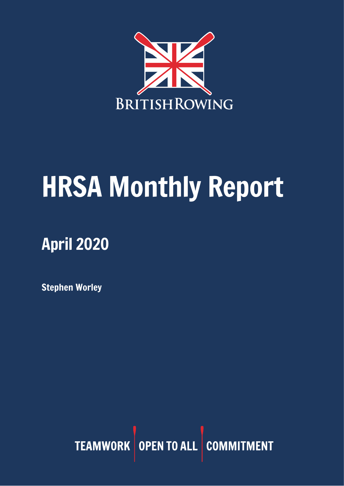

# HRSA Monthly Report

## April 2020

Stephen Worley

TEAMWORK OPEN TO ALL COMMITMENT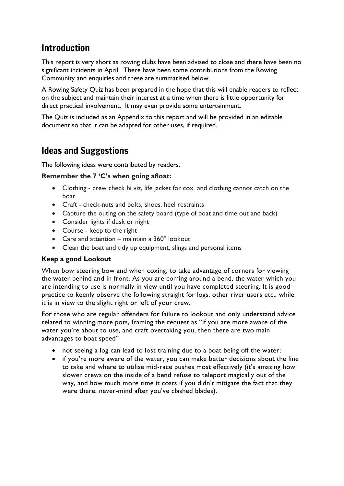## Introduction

This report is very short as rowing clubs have been advised to close and there have been no significant incidents in April. There have been some contributions from the Rowing Community and enquiries and these are summarised below.

A Rowing Safety Quiz has been prepared in the hope that this will enable readers to reflect on the subject and maintain their interest at a time when there is little opportunity for direct practical involvement. It may even provide some entertainment.

The Quiz is included as an Appendix to this report and will be provided in an editable document so that it can be adapted for other uses, if required.

## Ideas and Suggestions

The following ideas were contributed by readers.

#### **Remember the 7 'C's when going afloat:**

- Clothing crew check hi viz, life jacket for cox and clothing cannot catch on the boat
- Craft check-nuts and bolts, shoes, heel restraints
- Capture the outing on the safety board (type of boat and time out and back)
- Consider lights if dusk or night
- Course keep to the right
- Care and attention maintain a 360º lookout
- Clean the boat and tidy up equipment, slings and personal items

#### **Keep a good Lookout**

When bow steering bow and when coxing, to take advantage of corners for viewing the water behind and in front. As you are coming around a bend, the water which you are intending to use is normally in view until you have completed steering. It is good practice to keenly observe the following straight for logs, other river users etc., while it is in view to the slight right or left of your crew.

For those who are regular offenders for failure to lookout and only understand advice related to winning more pots, framing the request as "if you are more aware of the water you're about to use, and craft overtaking you, then there are two main advantages to boat speed"

- not seeing a log can lead to lost training due to a boat being off the water;
- if you're more aware of the water, you can make better decisions about the line to take and where to utilise mid-race pushes most effectively (it's amazing how slower crews on the inside of a bend refuse to teleport magically out of the way, and how much more time it costs if you didn't mitigate the fact that they were there, never-mind after you've clashed blades).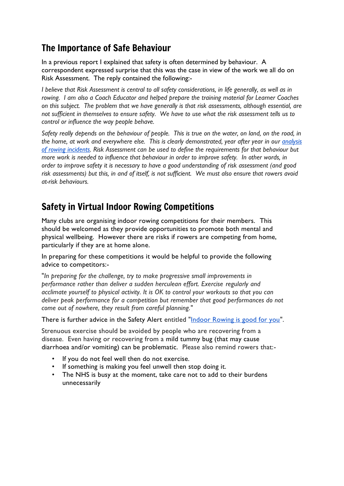## The Importance of Safe Behaviour

In a previous report I explained that safety is often determined by behaviour. A correspondent expressed surprise that this was the case in view of the work we all do on Risk Assessment. The reply contained the following:-

*I believe that Risk Assessment is central to all safety considerations, in life generally, as well as in rowing. I am also a Coach Educator and helped prepare the training material for Learner Coaches on this subject. The problem that we have generally is that risk assessments, although essential, are not sufficient in themselves to ensure safety. We have to use what the risk assessment tells us to control or influence the way people behave.* 

*Safety really depends on the behaviour of people. This is true on the water, on land, on the road, in the home, at work and everywhere else. This is clearly demonstrated, year after year in our [analysis](https://www.britishrowing.org/wp-content/uploads/2020/02/2019-Incident-Analysis.pdf)  [of rowing incidents.](https://www.britishrowing.org/wp-content/uploads/2020/02/2019-Incident-Analysis.pdf) Risk Assessment can be used to define the requirements for that behaviour but more work is needed to influence that behaviour in order to improve safety. In other words, in order to improve safety it is necessary to have a good understanding of risk assessment (and good risk assessments) but this, in and of itself, is not sufficient. We must also ensure that rowers avoid at-risk behaviours.* 

## Safety in Virtual Indoor Rowing Competitions

Many clubs are organising indoor rowing competitions for their members. This should be welcomed as they provide opportunities to promote both mental and physical wellbeing. However there are risks if rowers are competing from home, particularly if they are at home alone.

In preparing for these competitions it would be helpful to provide the following advice to competitors:-

"*In preparing for the challenge, try to make progressive small improvements in performance rather than deliver a sudden herculean effort. Exercise regularly and acclimate yourself to physical activity. It is OK to control your workouts so that you can deliver peak performance for a competition but remember that good performances do not come out of nowhere, they result from careful planning."*

There is further advice in the Safety Alert entitled ["Indoor Rowing is good for you"](https://www.britishrowing.org/wp-content/uploads/2020/04/Safety-Alert-Indoor-Rowing-is-good-for-you-March-2020.pdf).

Strenuous exercise should be avoided by people who are recovering from a disease. Even having or recovering from a mild tummy bug (that may cause diarrhoea and/or vomiting) can be problematic. Please also remind rowers that:-

- If you do not feel well then do not exercise.
- If something is making you feel unwell then stop doing it.
- The NHS is busy at the moment, take care not to add to their burdens unnecessarily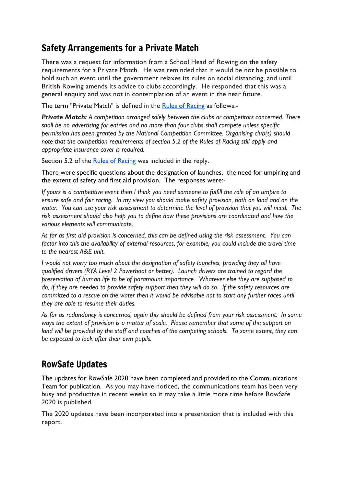## Safety Arrangements for a Private Match

There was a request for information from a School Head of Rowing on the safety requirements for a Private Match. He was reminded that it would be not be possible to hold such an event until the government relaxes its rules on social distancing, and until British Rowing amends its advice to clubs accordingly. He responded that this was a general enquiry and was not in contemplation of an event in the near future.

The term "Private Match" is defined in the [Rules of Racing](https://www.britishrowing.org/wp-content/uploads/2020/04/2020-Rules-of-Racing.pdf) as follows:-

*Private Match: A competition arranged solely between the clubs or competitors concerned. There shall be no advertising for entries and no more than four clubs shall compete unless specific permission has been granted by the National Competition Committee. Organising club(s) should note that the competition requirements of section 5.2 of the Rules of Racing still apply and appropriate insurance cover is required.*

Section 5.2 of the [Rules of Racing](https://www.britishrowing.org/wp-content/uploads/2020/04/2020-Rules-of-Racing.pdf) was included in the reply.

There were specific questions about the designation of launches, the need for umpiring and the extent of safety and first aid provision. The responses were:-

*If yours is a competitive event then I think you need someone to fulfill the role of an umpire to ensure safe and fair racing. In my view you should make safety provision, both on land and on the water. You can use your risk assessment to determine the level of provision that you will need. The risk assessment should also help you to define how these provisions are coordinated and how the various elements will communicate.*

*As far as first aid provision is concerned, this can be defined using the risk assessment. You can factor into this the availability of external resources, for example, you could include the travel time to the nearest A&E unit.* 

*I would not worry too much about the designation of safety launches, providing they all have qualified drivers (RYA Level 2 Powerboat or better). Launch drivers are trained to regard the preservation of human life to be of paramount importance. Whatever else they are supposed to do, if they are needed to provide safety support then they will do so. If the safety resources are committed to a rescue on the water then it would be advisable not to start any further races until they are able to resume their duties.* 

*As far as redundancy is concerned, again this should be defined from your risk assessment. In some ways the extent of provision is a matter of scale. Please remember that some of the support on*  land will be provided by the staff and coaches of the competing schools. To some extent, they can *be expected to look after their own pupils.*

## RowSafe Updates

The updates for RowSafe 2020 have been completed and provided to the Communications Team for publication. As you may have noticed, the communications team has been very busy and productive in recent weeks so it may take a little more time before RowSafe 2020 is published.

The 2020 updates have been incorporated into a presentation that is included with this report.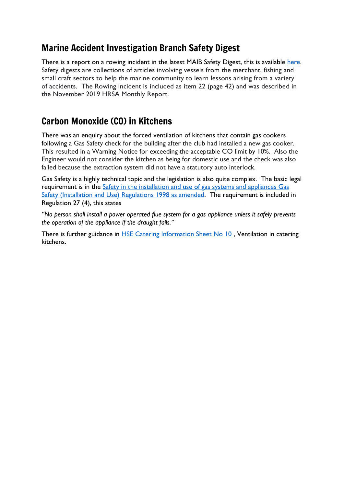## Marine Accident Investigation Branch Safety Digest

There is a report on a rowing incident in the latest MAIB Safety Digest, this is available [here.](https://assets.publishing.service.gov.uk/government/uploads/system/uploads/attachment_data/file/876845/2020-SD1-MAIBSafetyDigest.pdf) Safety digests are collections of articles involving vessels from the merchant, fishing and small craft sectors to help the marine community to learn lessons arising from a variety of accidents. The Rowing Incident is included as item 22 (page 42) and was described in the November 2019 HRSA Monthly Report.

## Carbon Monoxide (CO) in Kitchens

There was an enquiry about the forced ventilation of kitchens that contain gas cookers following a Gas Safety check for the building after the club had installed a new gas cooker. This resulted in a Warning Notice for exceeding the acceptable CO limit by 10%. Also the Engineer would not consider the kitchen as being for domestic use and the check was also failed because the extraction system did not have a statutory auto interlock.

Gas Safety is a highly technical topic and the legislation is also quite complex. The basic legal requirement is in the [Safety in the installation and use of gas systems and](https://www.hse.gov.uk/pubns/priced/l56.pdf) appliances Gas [Safety \(Installation and Use\) Regulations 1998 as amended.](https://www.hse.gov.uk/pubns/priced/l56.pdf) The requirement is included in Regulation 27 (4), this states

*"No person shall install a power operated flue system for a gas appliance unless it safely prevents the operation of the appliance if the draught fails."*

There is further guidance in [HSE Catering Information Sheet No 10](https://www.hse.gov.uk/pubns/cais10.pdf), Ventilation in catering kitchens.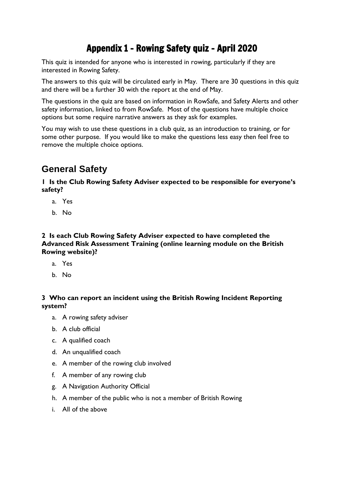## Appendix 1 - Rowing Safety quiz - April 2020

This quiz is intended for anyone who is interested in rowing, particularly if they are interested in Rowing Safety.

The answers to this quiz will be circulated early in May. There are 30 questions in this quiz and there will be a further 30 with the report at the end of May.

The questions in the quiz are based on information in RowSafe, and Safety Alerts and other safety information, linked to from RowSafe. Most of the questions have multiple choice options but some require narrative answers as they ask for examples.

You may wish to use these questions in a club quiz, as an introduction to training, or for some other purpose. If you would like to make the questions less easy then feel free to remove the multiple choice options.

## **General Safety**

**1 Is the Club Rowing Safety Adviser expected to be responsible for everyone's safety?**

- a. Yes
- b. No

**2 Is each Club Rowing Safety Adviser expected to have completed the Advanced Risk Assessment Training (online learning module on the British Rowing website)?**

- a. Yes
- b. No

#### **3 Who can report an incident using the British Rowing Incident Reporting system?**

- a. A rowing safety adviser
- b. A club official
- c. A qualified coach
- d. An unqualified coach
- e. A member of the rowing club involved
- f. A member of any rowing club
- g. A Navigation Authority Official
- h. A member of the public who is not a member of British Rowing
- i. All of the above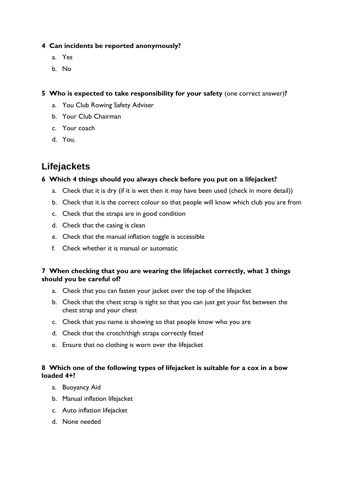#### **4 Can incidents be reported anonymously?**

- a. Yes
- b. No

**5 Who is expected to take responsibility for your safety** (one correct answer)**?**

- a. You Club Rowing Safety Adviser
- b. Your Club Chairman
- c. Your coach
- d. You.

## **Lifejackets**

#### **6 Which 4 things should you always check before you put on a lifejacket?**

- a. Check that it is dry (if it is wet then it may have been used (check in more detail))
- b. Check that it is the correct colour so that people will know which club you are from
- c. Check that the straps are in good condition
- d. Check that the casing is clean
- e. Check that the manual inflation toggle is accessible
- f. Check whether it is manual or automatic

#### **7 When checking that you are wearing the lifejacket correctly, what 3 things should you be careful of?**

- a. Check that you can fasten your jacket over the top of the lifejacket
- b. Check that the chest strap is tight so that you can just get your fist between the chest strap and your chest
- c. Check that you name is showing so that people know who you are
- d. Check that the crotch/thigh straps correctly fitted
- e. Ensure that no clothing is worn over the lifejacket

#### **8 Which one of the following types of lifejacket is suitable for a cox in a bow loaded 4+?**

- a. Buoyancy Aid
- b. Manual inflation lifejacket
- c. Auto inflation lifejacket
- d. None needed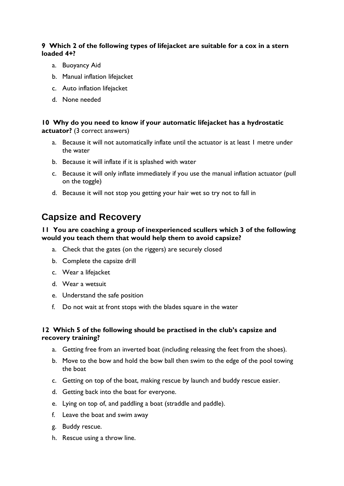#### **9 Which 2 of the following types of lifejacket are suitable for a cox in a stern loaded 4+?**

- a. Buoyancy Aid
- b. Manual inflation lifejacket
- c. Auto inflation lifejacket
- d. None needed

#### **10 Why do you need to know if your automatic lifejacket has a hydrostatic actuator?** (3 correct answers)

- a. Because it will not automatically inflate until the actuator is at least 1 metre under the water
- b. Because it will inflate if it is splashed with water
- c. Because it will only inflate immediately if you use the manual inflation actuator (pull on the toggle)
- d. Because it will not stop you getting your hair wet so try not to fall in

## **Capsize and Recovery**

#### **11 You are coaching a group of inexperienced scullers which 3 of the following would you teach them that would help them to avoid capsize?**

- a. Check that the gates (on the riggers) are securely closed
- b. Complete the capsize drill
- c. Wear a lifejacket
- d. Wear a wetsuit
- e. Understand the safe position
- f. Do not wait at front stops with the blades square in the water

#### **12 Which 5 of the following should be practised in the club's capsize and recovery training?**

- a. Getting free from an inverted boat (including releasing the feet from the shoes).
- b. Move to the bow and hold the bow ball then swim to the edge of the pool towing the boat
- c. Getting on top of the boat, making rescue by launch and buddy rescue easier.
- d. Getting back into the boat for everyone.
- e. Lying on top of, and paddling a boat (straddle and paddle).
- f. Leave the boat and swim away
- g. Buddy rescue.
- h. Rescue using a throw line.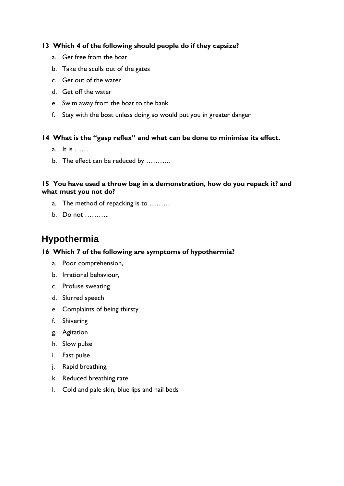#### **13 Which 4 of the following should people do if they capsize?**

- a. Get free from the boat
- b. Take the sculls out of the gates
- c. Get out of the water
- d. Get off the water
- e. Swim away from the boat to the bank
- f. Stay with the boat unless doing so would put you in greater danger

#### **14 What is the "gasp reflex" and what can be done to minimise its effect.**

- a. It is …….
- b. The effect can be reduced by ………..

#### **15 You have used a throw bag in a demonstration, how do you repack it? and what must you not do?**

- a. The method of repacking is to ………
- b. Do not ………..

## **Hypothermia**

#### **16 Which 7 of the following are symptoms of hypothermia?**

- a. Poor comprehension,
- b. Irrational behaviour,
- c. Profuse sweating
- d. Slurred speech
- e. Complaints of being thirsty
- f. Shivering
- g. Agitation
- h. Slow pulse
- i. Fast pulse
- j. Rapid breathing,
- k. Reduced breathing rate
- l. Cold and pale skin, blue lips and nail beds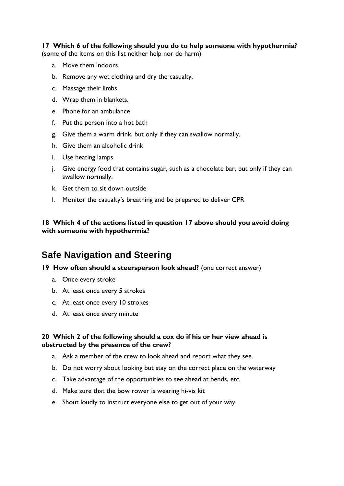#### **17 Which 6 of the following should you do to help someone with hypothermia?**

(some of the items on this list neither help nor do harm)

- a. Move them indoors.
- b. Remove any wet clothing and dry the casualty.
- c. Massage their limbs
- d. Wrap them in blankets.
- e. Phone for an ambulance
- f. Put the person into a hot bath
- g. Give them a warm drink, but only if they can swallow normally.
- h. Give them an alcoholic drink
- i. Use heating lamps
- j. Give energy food that contains sugar, such as a chocolate bar, but only if they can swallow normally.
- k. Get them to sit down outside
- l. Monitor the casualty's breathing and be prepared to deliver CPR

#### **18 Which 4 of the actions listed in question 17 above should you avoid doing with someone with hypothermia?**

## **Safe Navigation and Steering**

#### **19 How often should a steersperson look ahead?** (one correct answer)

- a. Once every stroke
- b. At least once every 5 strokes
- c. At least once every 10 strokes
- d. At least once every minute

#### **20 Which 2 of the following should a cox do if his or her view ahead is obstructed by the presence of the crew?**

- a. Ask a member of the crew to look ahead and report what they see.
- b. Do not worry about looking but stay on the correct place on the waterway
- c. Take advantage of the opportunities to see ahead at bends, etc.
- d. Make sure that the bow rower is wearing hi-vis kit
- e. Shout loudly to instruct everyone else to get out of your way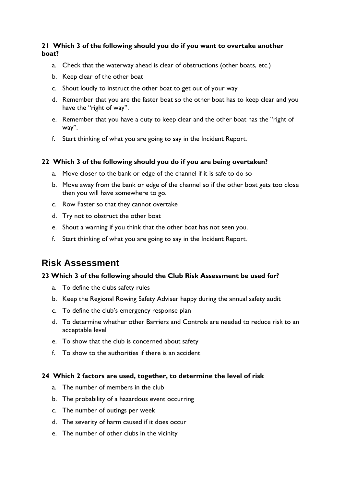#### **21 Which 3 of the following should you do if you want to overtake another boat?**

- a. Check that the waterway ahead is clear of obstructions (other boats, etc.)
- b. Keep clear of the other boat
- c. Shout loudly to instruct the other boat to get out of your way
- d. Remember that you are the faster boat so the other boat has to keep clear and you have the "right of way".
- e. Remember that you have a duty to keep clear and the other boat has the "right of way".
- f. Start thinking of what you are going to say in the Incident Report.

#### **22 Which 3 of the following should you do if you are being overtaken?**

- a. Move closer to the bank or edge of the channel if it is safe to do so
- b. Move away from the bank or edge of the channel so if the other boat gets too close then you will have somewhere to go.
- c. Row Faster so that they cannot overtake
- d. Try not to obstruct the other boat
- e. Shout a warning if you think that the other boat has not seen you.
- f. Start thinking of what you are going to say in the Incident Report.

### **Risk Assessment**

#### **23 Which 3 of the following should the Club Risk Assessment be used for?**

- a. To define the clubs safety rules
- b. Keep the Regional Rowing Safety Adviser happy during the annual safety audit
- c. To define the club's emergency response plan
- d. To determine whether other Barriers and Controls are needed to reduce risk to an acceptable level
- e. To show that the club is concerned about safety
- f. To show to the authorities if there is an accident

#### **24 Which 2 factors are used, together, to determine the level of risk**

- a. The number of members in the club
- b. The probability of a hazardous event occurring
- c. The number of outings per week
- d. The severity of harm caused if it does occur
- e. The number of other clubs in the vicinity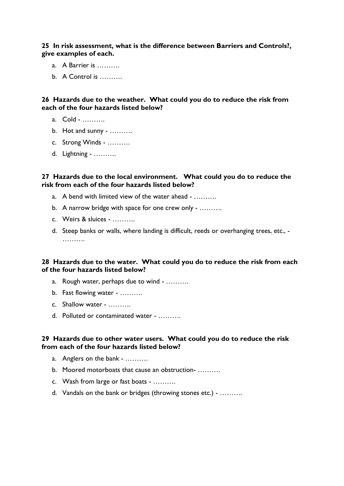**25 In risk assessment, what is the difference between Barriers and Controls?, give examples of each.**

- a. A Barrier is ……….
- b. A Control is ……….

**26 Hazards due to the weather. What could you do to reduce the risk from each of the four hazards listed below?**

- a. Cold ……….
- b. Hot and sunny ……….
- c. Strong Winds ……….
- d. Lightning ……….

#### **27 Hazards due to the local environment. What could you do to reduce the risk from each of the four hazards listed below?**

- a. A bend with limited view of the water ahead ……….
- b. A narrow bridge with space for one crew only ……….
- c. Weirs & sluices ……….
- d. Steep banks or walls, where landing is difficult, reeds or overhanging trees, etc., ……….

#### **28 Hazards due to the water. What could you do to reduce the risk from each of the four hazards listed below?**

- a. Rough water, perhaps due to wind ……….
- b. Fast flowing water ……….
- c. Shallow water ……….
- d. Polluted or contaminated water ……….

#### **29 Hazards due to other water users. What could you do to reduce the risk from each of the four hazards listed below?**

- a. Anglers on the bank ……….
- b. Moored motorboats that cause an obstruction- ……….
- c. Wash from large or fast boats ……….
- d. Vandals on the bank or bridges (throwing stones etc.) ……….